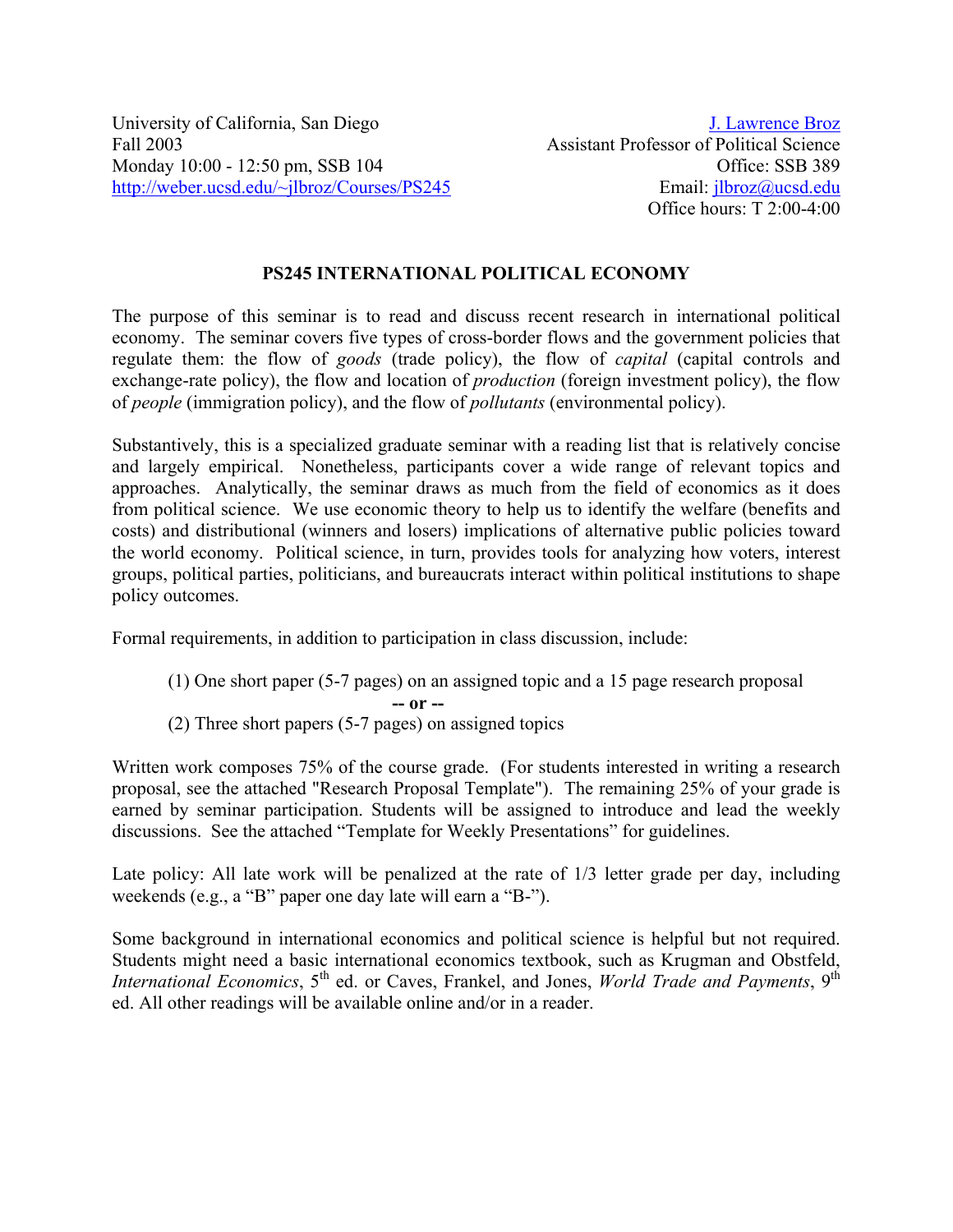University of California, San Diego Fall 2003 Monday 10:00 - 12:50 pm, SSB 104 http://weber.ucsd.edu/~jlbroz/Courses/PS245

# **PS245 INTERNATIONAL POLITICAL ECONOMY**

The purpose of this seminar is to read and discuss recent research in international political economy. The seminar covers five types of cross-border flows and the government policies that regulate them: the flow of *goods* (trade policy), the flow of *capital* (capital controls and exchange-rate policy), the flow and location of *production* (foreign investment policy), the flow of *people* (immigration policy), and the flow of *pollutants* (environmental policy).

Substantively, this is a specialized graduate seminar with a reading list that is relatively concise and largely empirical. Nonetheless, participants cover a wide range of relevant topics and approaches. Analytically, the seminar draws as much from the field of economics as it does from political science. We use economic theory to help us to identify the welfare (benefits and costs) and distributional (winners and losers) implications of alternative public policies toward the world economy. Political science, in turn, provides tools for analyzing how voters, interest groups, political parties, politicians, and bureaucrats interact within political institutions to shape policy outcomes.

Formal requirements, in addition to participation in class discussion, include:

- (1) One short paper (5-7 pages) on an assigned topic and a 15 page research proposal
	- **-- or --**
- (2) Three short papers (5-7 pages) on assigned topics

Written work composes 75% of the course grade. (For students interested in writing a research proposal, see the attached "Research Proposal Template"). The remaining 25% of your grade is earned by seminar participation. Students will be assigned to introduce and lead the weekly discussions. See the attached "Template for Weekly Presentations" for guidelines.

Late policy: All late work will be penalized at the rate of 1/3 letter grade per day, including weekends (e.g., a "B" paper one day late will earn a "B-").

Some background in international economics and political science is helpful but not required. Students might need a basic international economics textbook, such as Krugman and Obstfeld, *International Economics*, 5<sup>th</sup> ed. or Caves, Frankel, and Jones, *World Trade and Payments*, 9<sup>th</sup> ed. All other readings will be available online and/or in a reader.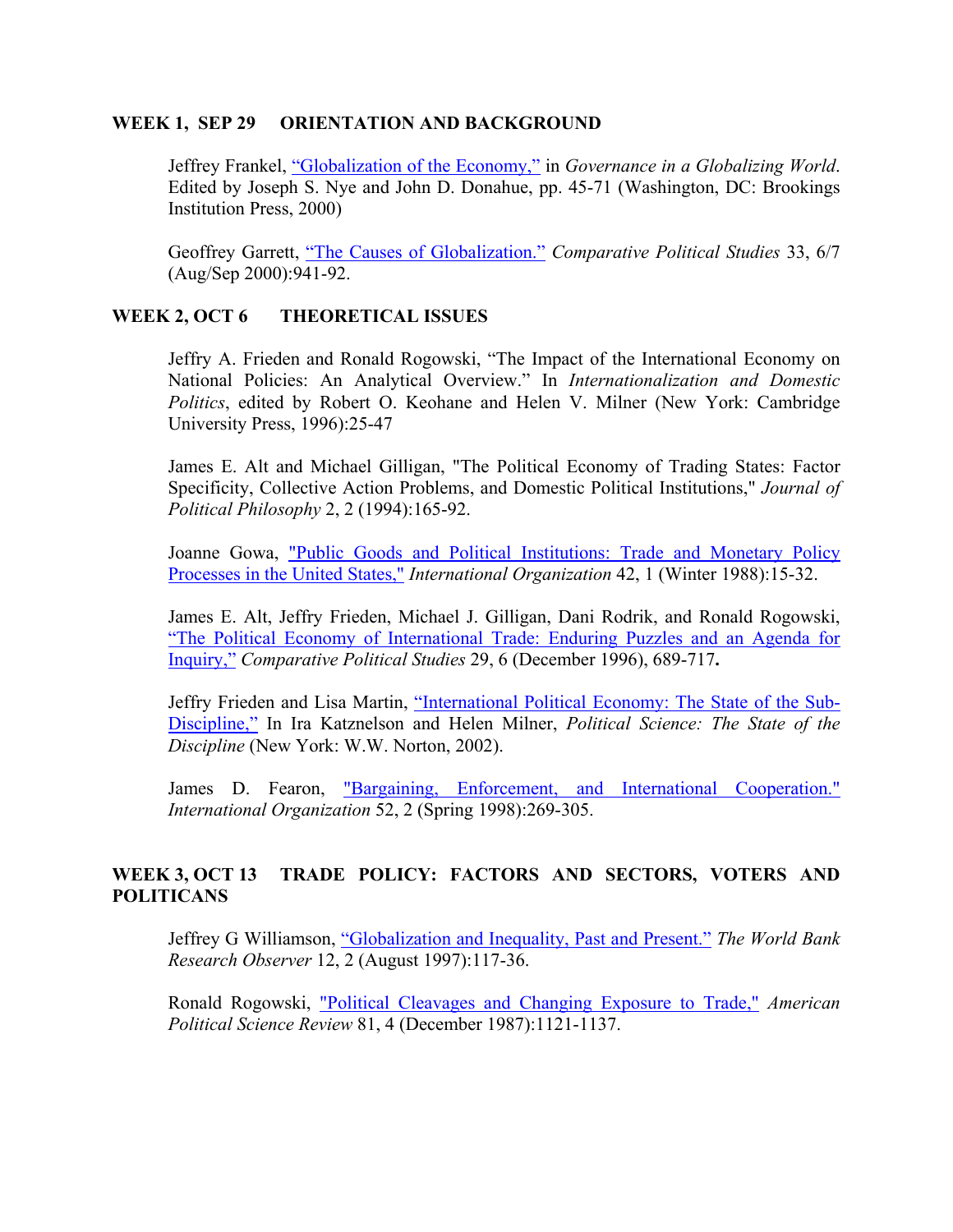#### **WEEK 1, SEP 29 ORIENTATION AND BACKGROUND**

Jeffrey Frankel, "Globalization of the Economy," in *Governance in a Globalizing World*. Edited by Joseph S. Nye and John D. Donahue, pp. 45-71 (Washington, DC: Brookings Institution Press, 2000)

Geoffrey Garrett, "The Causes of Globalization." *Comparative Political Studies* 33, 6/7 (Aug/Sep 2000):941-92.

#### **WEEK 2, OCT 6 THEORETICAL ISSUES**

Jeffry A. Frieden and Ronald Rogowski, "The Impact of the International Economy on National Policies: An Analytical Overview." In *Internationalization and Domestic Politics*, edited by Robert O. Keohane and Helen V. Milner (New York: Cambridge University Press, 1996):25-47

James E. Alt and Michael Gilligan, "The Political Economy of Trading States: Factor Specificity, Collective Action Problems, and Domestic Political Institutions," *Journal of Political Philosophy* 2, 2 (1994):165-92.

Joanne Gowa, "Public Goods and Political Institutions: Trade and Monetary Policy Processes in the United States," *International Organization* 42, 1 (Winter 1988):15-32.

James E. Alt, Jeffry Frieden, Michael J. Gilligan, Dani Rodrik, and Ronald Rogowski, "The Political Economy of International Trade: Enduring Puzzles and an Agenda for Inquiry," *Comparative Political Studies* 29, 6 (December 1996), 689-717**.** 

Jeffry Frieden and Lisa Martin, "International Political Economy: The State of the Sub-Discipline," In Ira Katznelson and Helen Milner, *Political Science: The State of the Discipline* (New York: W.W. Norton, 2002).

James D. Fearon, "Bargaining, Enforcement, and International Cooperation." *International Organization* 52, 2 (Spring 1998):269-305.

## **WEEK 3, OCT 13 TRADE POLICY: FACTORS AND SECTORS, VOTERS AND POLITICANS**

Jeffrey G Williamson, "Globalization and Inequality, Past and Present." *The World Bank Research Observer* 12, 2 (August 1997):117-36.

Ronald Rogowski, "Political Cleavages and Changing Exposure to Trade," *American Political Science Review* 81, 4 (December 1987):1121-1137.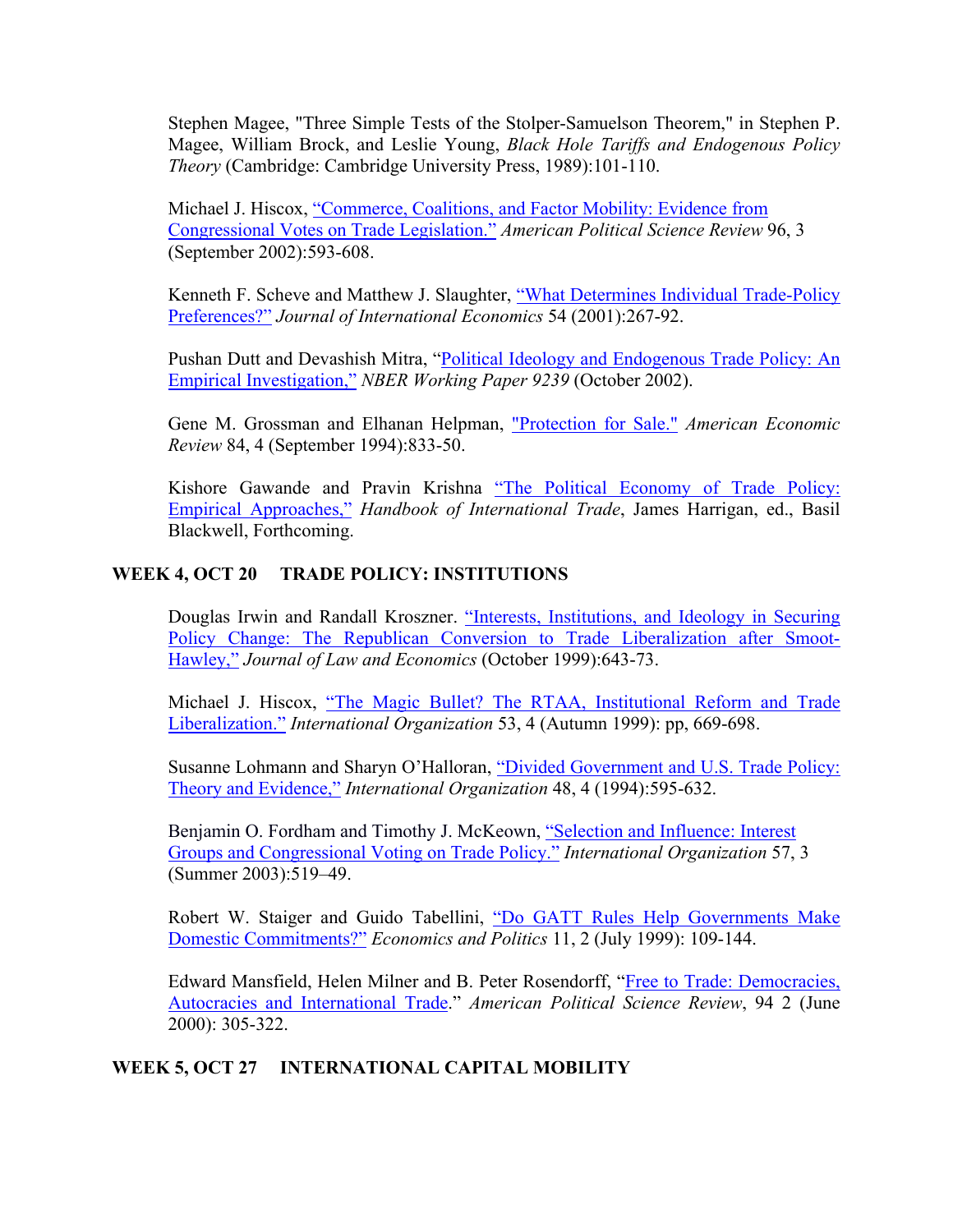Stephen Magee, "Three Simple Tests of the Stolper-Samuelson Theorem," in Stephen P. Magee, William Brock, and Leslie Young, *Black Hole Tariffs and Endogenous Policy Theory* (Cambridge: Cambridge University Press, 1989):101-110.

Michael J. Hiscox, "Commerce, Coalitions, and Factor Mobility: Evidence from Congressional Votes on Trade Legislation." *American Political Science Review* 96, 3 (September 2002):593-608.

Kenneth F. Scheve and Matthew J. Slaughter, "What Determines Individual Trade-Policy Preferences?" *Journal of International Economics* 54 (2001):267-92.

Pushan Dutt and Devashish Mitra, "Political Ideology and Endogenous Trade Policy: An Empirical Investigation," *NBER Working Paper 9239* (October 2002).

Gene M. Grossman and Elhanan Helpman, "Protection for Sale." *American Economic Review* 84, 4 (September 1994):833-50.

Kishore Gawande and Pravin Krishna "The Political Economy of Trade Policy: Empirical Approaches," *Handbook of International Trade*, James Harrigan, ed., Basil Blackwell, Forthcoming.

## **WEEK 4, OCT 20 TRADE POLICY: INSTITUTIONS**

Douglas Irwin and Randall Kroszner. "Interests, Institutions, and Ideology in Securing Policy Change: The Republican Conversion to Trade Liberalization after Smoot-Hawley," *Journal of Law and Economics* (October 1999):643-73.

Michael J. Hiscox, "The Magic Bullet? The RTAA, Institutional Reform and Trade Liberalization." *International Organization* 53, 4 (Autumn 1999): pp, 669-698.

Susanne Lohmann and Sharyn O'Halloran, "Divided Government and U.S. Trade Policy: Theory and Evidence," *International Organization* 48, 4 (1994):595-632.

Benjamin O. Fordham and Timothy J. McKeown, "Selection and Influence: Interest Groups and Congressional Voting on Trade Policy." *International Organization* 57, 3 (Summer 2003):519–49.

Robert W. Staiger and Guido Tabellini, "Do GATT Rules Help Governments Make Domestic Commitments?" *Economics and Politics* 11, 2 (July 1999): 109-144.

Edward Mansfield, Helen Milner and B. Peter Rosendorff, "Free to Trade: Democracies, Autocracies and International Trade." *American Political Science Review*, 94 2 (June 2000): 305-322.

## **WEEK 5, OCT 27 INTERNATIONAL CAPITAL MOBILITY**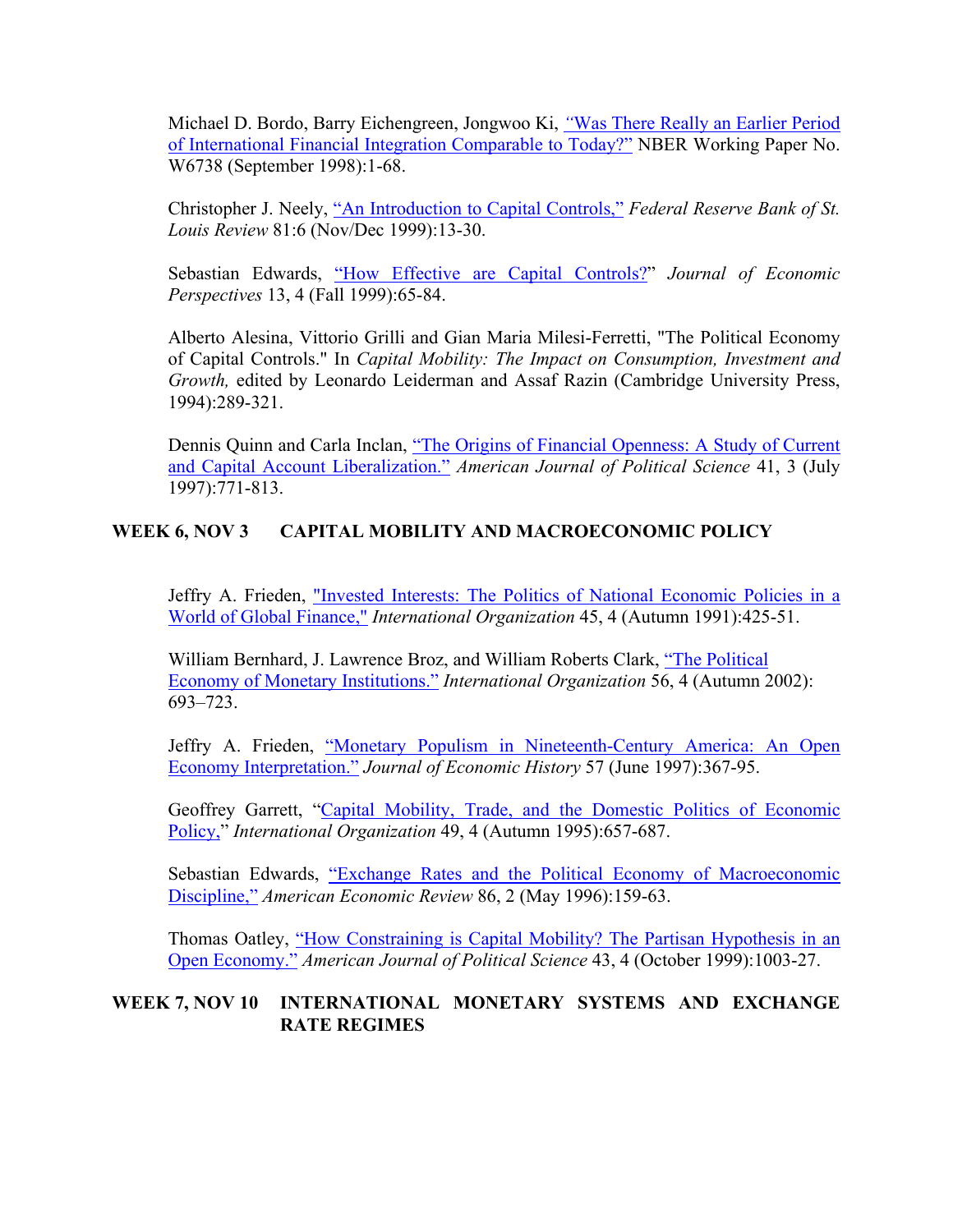Michael D. Bordo, Barry Eichengreen, Jongwoo Ki, *"*Was There Really an Earlier Period of International Financial Integration Comparable to Today?" NBER Working Paper No. W6738 (September 1998):1-68.

Christopher J. Neely, "An Introduction to Capital Controls," *Federal Reserve Bank of St. Louis Review* 81:6 (Nov/Dec 1999):13-30.

Sebastian Edwards, "How Effective are Capital Controls?" *Journal of Economic Perspectives* 13, 4 (Fall 1999):65-84.

Alberto Alesina, Vittorio Grilli and Gian Maria Milesi-Ferretti, "The Political Economy of Capital Controls." In *Capital Mobility: The Impact on Consumption, Investment and Growth,* edited by Leonardo Leiderman and Assaf Razin (Cambridge University Press, 1994):289-321.

Dennis Quinn and Carla Inclan, "The Origins of Financial Openness: A Study of Current and Capital Account Liberalization." *American Journal of Political Science* 41, 3 (July 1997):771-813.

# **WEEK 6, NOV 3 CAPITAL MOBILITY AND MACROECONOMIC POLICY**

Jeffry A. Frieden, "Invested Interests: The Politics of National Economic Policies in a World of Global Finance," *International Organization* 45, 4 (Autumn 1991):425-51.

William Bernhard, J. Lawrence Broz, and William Roberts Clark, "The Political Economy of Monetary Institutions." *International Organization* 56, 4 (Autumn 2002): 693–723.

Jeffry A. Frieden, "Monetary Populism in Nineteenth-Century America: An Open Economy Interpretation." *Journal of Economic History* 57 (June 1997):367-95.

Geoffrey Garrett, "Capital Mobility, Trade, and the Domestic Politics of Economic Policy," *International Organization* 49, 4 (Autumn 1995):657-687.

Sebastian Edwards, "Exchange Rates and the Political Economy of Macroeconomic Discipline," *American Economic Review* 86, 2 (May 1996):159-63.

Thomas Oatley, "How Constraining is Capital Mobility? The Partisan Hypothesis in an Open Economy." *American Journal of Political Science* 43, 4 (October 1999):1003-27.

# **WEEK 7, NOV 10 INTERNATIONAL MONETARY SYSTEMS AND EXCHANGE RATE REGIMES**